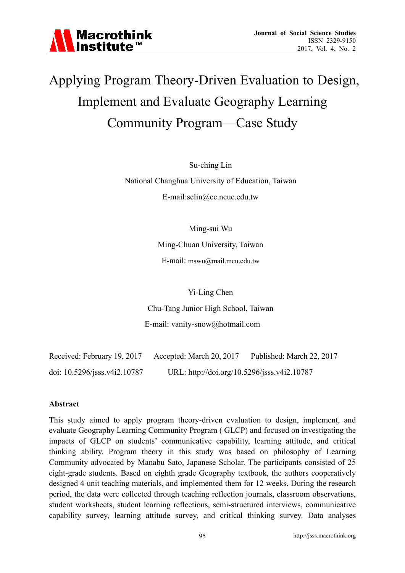

# Applying Program Theory-Driven Evaluation to Design, Implement and Evaluate Geography Learning Community Program—Case Study

Su-ching Lin

National Changhua University of Education, Taiwan E-mail:sclin@cc.ncue.edu.tw

Ming-sui Wu

Ming-Chuan University, Taiwan

E-mail: mswu@mail.mcu.edu.tw

Yi-Ling Chen

Chu-Tang Junior High School, Taiwan

E-mail: vanity-snow@hotmail.com

| Received: February 19, 2017  | Accepted: March 20, 2017                    | Published: March 22, 2017 |
|------------------------------|---------------------------------------------|---------------------------|
| doi: 10.5296/jsss.v4i2.10787 | URL: http://doi.org/10.5296/jsss.v4i2.10787 |                           |

#### **Abstract**

This study aimed to apply program theory-driven evaluation to design, implement, and evaluate Geography Learning Community Program ( GLCP) and focused on investigating the impacts of GLCP on students' communicative capability, learning attitude, and critical thinking ability. Program theory in this study was based on philosophy of Learning Community advocated by Manabu Sato, Japanese Scholar. The participants consisted of 25 eight-grade students. Based on eighth grade Geography textbook, the authors cooperatively designed 4 unit teaching materials, and implemented them for 12 weeks. During the research period, the data were collected through teaching reflection journals, classroom observations, student worksheets, student learning reflections, semi-structured interviews, communicative capability survey, learning attitude survey, and critical thinking survey. Data analyses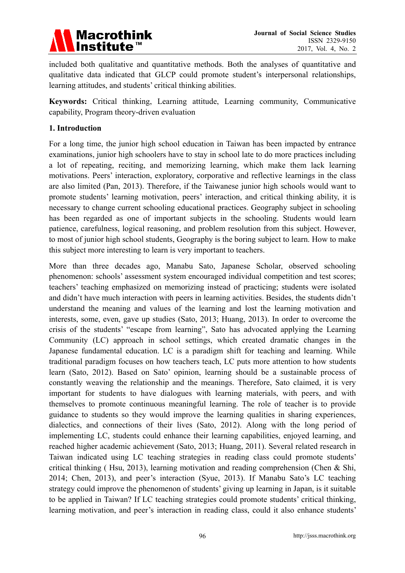

included both qualitative and quantitative methods. Both the analyses of quantitative and qualitative data indicated that GLCP could promote student's interpersonal relationships, learning attitudes, and students' critical thinking abilities.

**Keywords:** Critical thinking, Learning attitude, Learning community, Communicative capability, Program theory-driven evaluation

#### **1. Introduction**

For a long time, the junior high school education in Taiwan has been impacted by entrance examinations, junior high schoolers have to stay in school late to do more practices including a lot of repeating, reciting, and memorizing learning, which make them lack learning motivations. Peers' interaction, exploratory, corporative and reflective learnings in the class are also limited (Pan, 2013). Therefore, if the Taiwanese junior high schools would want to promote students' learning motivation, peers' interaction, and critical thinking ability, it is necessary to change current schooling educational practices. Geography subject in schooling has been regarded as one of important subjects in the schooling. Students would learn patience, carefulness, logical reasoning, and problem resolution from this subject. However, to most of junior high school students, Geography is the boring subject to learn. How to make this subject more interesting to learn is very important to teachers.

More than three decades ago, Manabu Sato, Japanese Scholar, observed schooling phenomenon: schools' assessment system encouraged individual competition and test scores; teachers' teaching emphasized on memorizing instead of practicing; students were isolated and didn't have much interaction with peers in learning activities. Besides, the students didn't understand the meaning and values of the learning and lost the learning motivation and interests, some, even, gave up studies (Sato, 2013; Huang, 2013). In order to overcome the crisis of the students' "escape from learning", Sato has advocated applying the Learning Community (LC) approach in school settings, which created dramatic changes in the Japanese fundamental education. LC is a paradigm shift for teaching and learning. While traditional paradigm focuses on how teachers teach, LC puts more attention to how students learn (Sato, 2012). Based on Sato' opinion, learning should be a sustainable process of constantly weaving the relationship and the meanings. Therefore, Sato claimed, it is very important for students to have dialogues with learning materials, with peers, and with themselves to promote continuous meaningful learning. The role of teacher is to provide guidance to students so they would improve the learning qualities in sharing experiences, dialectics, and connections of their lives (Sato, 2012). Along with the long period of implementing LC, students could enhance their learning capabilities, enjoyed learning, and reached higher academic achievement (Sato, 2013; Huang, 2011). Several related research in Taiwan indicated using LC teaching strategies in reading class could promote students' critical thinking ( Hsu, 2013), learning motivation and reading comprehension (Chen & Shi, 2014; Chen, 2013), and peer's interaction (Syue, 2013). If Manabu Sato's LC teaching strategy could improve the phenomenon of students' giving up learning in Japan, is it suitable to be applied in Taiwan? If LC teaching strategies could promote students' critical thinking, learning motivation, and peer's interaction in reading class, could it also enhance students'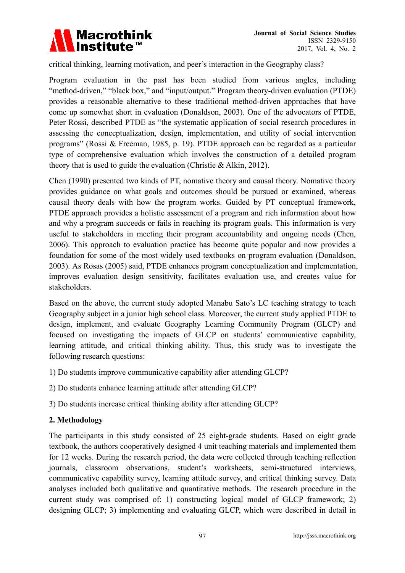

critical thinking, learning motivation, and peer's interaction in the Geography class?

Program evaluation in the past has been studied from various angles, including "method-driven," "black box," and "input/output." Program theory-driven evaluation (PTDE) provides a reasonable alternative to these traditional method-driven approaches that have come up somewhat short in evaluation (Donaldson, 2003). One of the advocators of PTDE, Peter Rossi, described PTDE as "the systematic application of social research procedures in assessing the conceptualization, design, implementation, and utility of social intervention programs" (Rossi & Freeman, 1985, p. 19). PTDE approach can be regarded as a particular type of comprehensive evaluation which involves the construction of a detailed program theory that is used to guide the evaluation (Christie & Alkin, 2012).

Chen (1990) presented two kinds of PT, nomative theory and causal theory. Nomative theory provides guidance on what goals and outcomes should be pursued or examined, whereas causal theory deals with how the program works. Guided by PT conceptual framework, PTDE approach provides a holistic assessment of a program and rich information about how and why a program succeeds or fails in reaching its program goals. This information is very useful to stakeholders in meeting their program accountability and ongoing needs (Chen, 2006). This approach to evaluation practice has become quite popular and now provides a foundation for some of the most widely used textbooks on program evaluation (Donaldson, 2003). As Rosas (2005) said, PTDE enhances program conceptualization and implementation, improves evaluation design sensitivity, facilitates evaluation use, and creates value for stakeholders.

Based on the above, the current study adopted Manabu Sato's LC teaching strategy to teach Geography subject in a junior high school class. Moreover, the current study applied PTDE to design, implement, and evaluate Geography Learning Community Program (GLCP) and focused on investigating the impacts of GLCP on students' communicative capability, learning attitude, and critical thinking ability. Thus, this study was to investigate the following research questions:

1) Do students improve communicative capability after attending GLCP?

- 2) Do students enhance learning attitude after attending GLCP?
- 3) Do students increase critical thinking ability after attending GLCP?

#### **2. Methodology**

The participants in this study consisted of 25 eight-grade students. Based on eight grade textbook, the authors cooperatively designed 4 unit teaching materials and implemented them for 12 weeks. During the research period, the data were collected through teaching reflection journals, classroom observations, student's worksheets, semi-structured interviews, communicative capability survey, learning attitude survey, and critical thinking survey. Data analyses included both qualitative and quantitative methods. The research procedure in the current study was comprised of: 1) constructing logical model of GLCP framework; 2) designing GLCP; 3) implementing and evaluating GLCP, which were described in detail in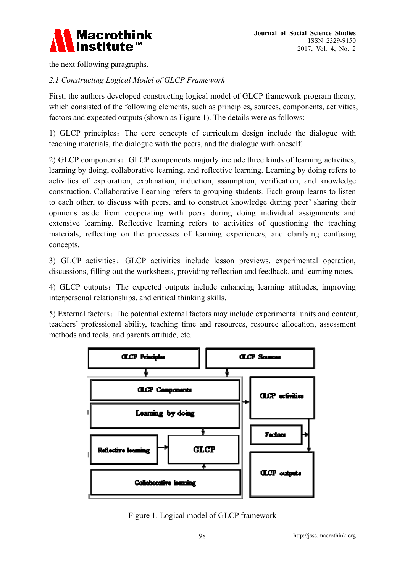

the next following paragraphs.

# *2.1 Constructing Logical Model of GLCP Framework*

First, the authors developed constructing logical model of GLCP framework program theory, which consisted of the following elements, such as principles, sources, components, activities, factors and expected outputs (shown as Figure 1). The details were as follows:

1) GLCP principles:The core concepts of curriculum design include the dialogue with teaching materials, the dialogue with the peers, and the dialogue with oneself.

2) GLCP components: GLCP components majorly include three kinds of learning activities, learning by doing, collaborative learning, and reflective learning. Learning by doing refers to activities of exploration, explanation, induction, assumption, verification, and knowledge construction. Collaborative Learning refers to grouping students. Each group learns to listen to each other, to discuss with peers, and to construct knowledge during peer' sharing their opinions aside from cooperating with peers during doing individual assignments and extensive learning. Reflective learning refers to activities of questioning the teaching materials, reflecting on the processes of learning experiences, and clarifying confusing concepts.

3) GLCP activities: GLCP activities include lesson previews, experimental operation, discussions, filling out the worksheets, providing reflection and feedback, and learning notes.

4) GLCP outputs:The expected outputs include enhancing learning attitudes, improving interpersonal relationships, and critical thinking skills.

5) External factors: The potential external factors may include experimental units and content, teachers' professional ability, teaching time and resources, resource allocation, assessment methods and tools, and parents attitude, etc.



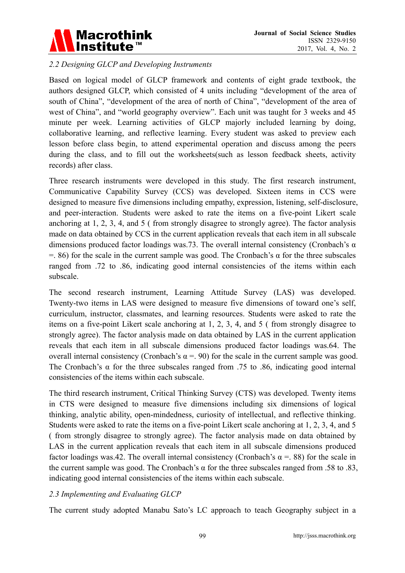

# *2.2 Designing GLCP and Developing Instruments*

Based on logical model of GLCP framework and contents of eight grade textbook, the authors designed GLCP, which consisted of 4 units including "development of the area of south of China", "development of the area of north of China", "development of the area of west of China", and "world geography overview". Each unit was taught for 3 weeks and 45 minute per week. Learning activities of GLCP majorly included learning by doing, collaborative learning, and reflective learning. Every student was asked to preview each lesson before class begin, to attend experimental operation and discuss among the peers during the class, and to fill out the worksheets(such as lesson feedback sheets, activity records) after class.

Three research instruments were developed in this study. The first research instrument, Communicative Capability Survey (CCS) was developed. Sixteen items in CCS were designed to measure five dimensions including empathy, expression, listening, self-disclosure, and peer-interaction. Students were asked to rate the items on a five-point Likert scale anchoring at 1, 2, 3, 4, and 5 ( from strongly disagree to strongly agree). The factor analysis made on data obtained by CCS in the current application reveals that each item in all subscale dimensions produced factor loadings was.73. The overall internal consistency (Cronbach's  $\alpha$ )  $=$ . 86) for the scale in the current sample was good. The Cronbach's  $\alpha$  for the three subscales ranged from .72 to .86, indicating good internal consistencies of the items within each subscale.

The second research instrument, Learning Attitude Survey (LAS) was developed. Twenty-two items in LAS were designed to measure five dimensions of toward one's self, curriculum, instructor, classmates, and learning resources. Students were asked to rate the items on a five-point Likert scale anchoring at 1, 2, 3, 4, and 5 ( from strongly disagree to strongly agree). The factor analysis made on data obtained by LAS in the current application reveals that each item in all subscale dimensions produced factor loadings was.64. The overall internal consistency (Cronbach's α = . 90) for the scale in the current sample was good. The Cronbach's  $\alpha$  for the three subscales ranged from .75 to .86, indicating good internal consistencies of the items within each subscale.

The third research instrument, Critical Thinking Survey (CTS) was developed. Twenty items in CTS were designed to measure five dimensions including six dimensions of logical thinking, analytic ability, open-mindedness, curiosity of intellectual, and reflective thinking. Students were asked to rate the items on a five-point Likert scale anchoring at 1, 2, 3, 4, and 5 ( from strongly disagree to strongly agree). The factor analysis made on data obtained by LAS in the current application reveals that each item in all subscale dimensions produced factor loadings was.42. The overall internal consistency (Cronbach's  $\alpha$  = 88) for the scale in the current sample was good. The Cronbach's α for the three subscales ranged from .58 to .83, indicating good internal consistencies of the items within each subscale.

#### *2.3 Implementing and Evaluating GLCP*

The current study adopted Manabu Sato's LC approach to teach Geography subject in a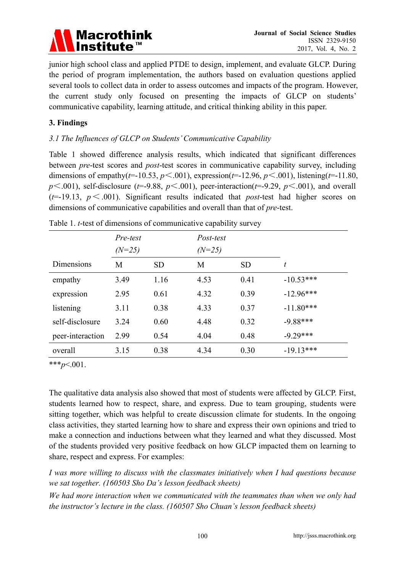

junior high school class and applied PTDE to design, implement, and evaluate GLCP. During the period of program implementation, the authors based on evaluation questions applied several tools to collect data in order to assess outcomes and impacts of the program. However, the current study only focused on presenting the impacts of GLCP on students' communicative capability, learning attitude, and critical thinking ability in this paper.

### **3. Findings**

## *3.1 The Influences of GLCP on Students' Communicative Capability*

Table 1 showed difference analysis results, which indicated that significant differences between *pre*-test scores and *post*-test scores in communicative capability survey, including dimensions of empathy(*t*=-10.53, *p*<.001), expression(*t*=-12.96, *p*<.001), listening(*t*=-11.80,  $p \leq 0.001$ ), self-disclosure ( $t = -9.88$ ,  $p \leq 0.001$ ), peer-interaction( $t = -9.29$ ,  $p \leq 0.001$ ), and overall  $(t=19.13, p \leq 0.001)$ . Significant results indicated that *post*-test had higher scores on dimensions of communicative capabilities and overall than that of *pre*-test.

|                  | Pre-test |           | Post-test |           |             |
|------------------|----------|-----------|-----------|-----------|-------------|
|                  | $(N=25)$ |           | $(N=25)$  |           |             |
| Dimensions       | M        | <b>SD</b> | M         | <b>SD</b> | t           |
| empathy          | 3.49     | 1.16      | 4.53      | 0.41      | $-10.53***$ |
| expression       | 2.95     | 0.61      | 4.32      | 0.39      | $-12.96***$ |
| listening        | 3.11     | 0.38      | 4.33      | 0.37      | $-11.80***$ |
| self-disclosure  | 3.24     | 0.60      | 4.48      | 0.32      | $-9.88***$  |
| peer-interaction | 2.99     | 0.54      | 4.04      | 0.48      | $-9.29***$  |
| overall          | 3.15     | 0.38      | 4.34      | 0.30      | $-19.13***$ |

|  |  | Table 1. <i>t</i> -test of dimensions of communicative capability survey |  |  |  |  |
|--|--|--------------------------------------------------------------------------|--|--|--|--|
|--|--|--------------------------------------------------------------------------|--|--|--|--|

\*\*\**p*<.001.

The qualitative data analysis also showed that most of students were affected by GLCP. First, students learned how to respect, share, and express. Due to team grouping, students were sitting together, which was helpful to create discussion climate for students. In the ongoing class activities, they started learning how to share and express their own opinions and tried to make a connection and inductions between what they learned and what they discussed. Most of the students provided very positive feedback on how GLCP impacted them on learning to share, respect and express. For examples:

*I was more willing to discuss with the classmates initiatively when I had questions because we sat together. (160503 Sho Da's lesson feedback sheets)* 

*We had more interaction when we communicated with the teammates than when we only had the instructor's lecture in the class. (160507 Sho Chuan's lesson feedback sheets)*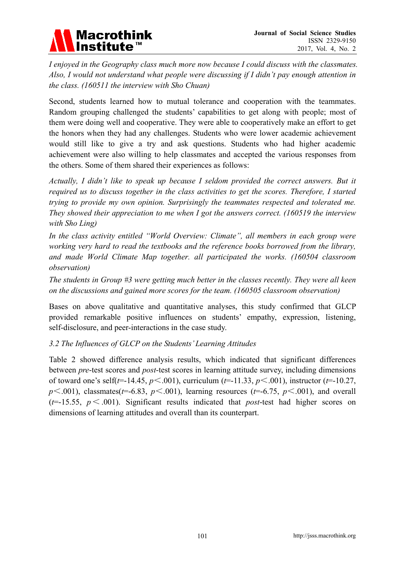

*I enjoyed in the Geography class much more now because I could discuss with the classmates. Also, I would not understand what people were discussing if I didn't pay enough attention in the class. (160511 the interview with Sho Chuan)* 

Second, students learned how to mutual tolerance and cooperation with the teammates. Random grouping challenged the students' capabilities to get along with people; most of them were doing well and cooperative. They were able to cooperatively make an effort to get the honors when they had any challenges. Students who were lower academic achievement would still like to give a try and ask questions. Students who had higher academic achievement were also willing to help classmates and accepted the various responses from the others. Some of them shared their experiences as follows:

*Actually, I didn't like to speak up because I seldom provided the correct answers. But it required us to discuss together in the class activities to get the scores. Therefore, I started trying to provide my own opinion. Surprisingly the teammates respected and tolerated me. They showed their appreciation to me when I got the answers correct. (160519 the interview with Sho Ling)* 

*In the class activity entitled "World Overview: Climate", all members in each group were working very hard to read the textbooks and the reference books borrowed from the library, and made World Climate Map together. all participated the works. (160504 classroom observation)* 

*The students in Group #3 were getting much better in the classes recently. They were all keen on the discussions and gained more scores for the team. (160505 classroom observation)* 

Bases on above qualitative and quantitative analyses, this study confirmed that GLCP provided remarkable positive influences on students' empathy, expression, listening, self-disclosure, and peer-interactions in the case study.

#### *3.2 The Influences of GLCP on the Students' Learning Attitudes*

Table 2 showed difference analysis results, which indicated that significant differences between *pre*-test scores and *post*-test scores in learning attitude survey, including dimensions of toward one's self(*t*=-14.45, *p*<.001), curriculum (*t*=-11.33, *p*<.001), instructor (*t*=-10.27,  $p \leq .001$ ), classmates( $t = -6.83$ ,  $p \leq .001$ ), learning resources ( $t = -6.75$ ,  $p \leq .001$ ), and overall  $(t=15.55, p \leq 0.001)$ . Significant results indicated that *post*-test had higher scores on dimensions of learning attitudes and overall than its counterpart.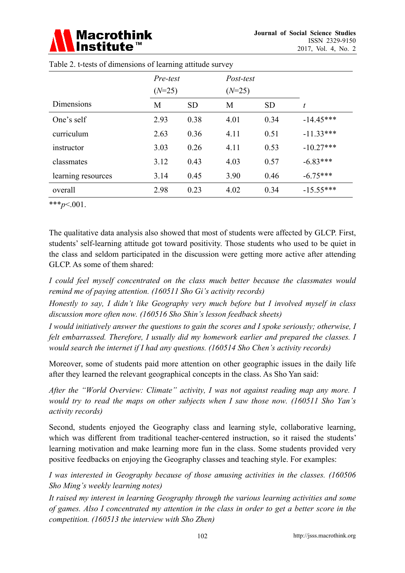# **Macrothink**

|                    | Pre-test |           | Post-test |           |             |
|--------------------|----------|-----------|-----------|-----------|-------------|
|                    | $(N=25)$ |           | $(N=25)$  |           |             |
| Dimensions         | M        | <b>SD</b> | M         | <b>SD</b> | t           |
| One's self         | 2.93     | 0.38      | 4.01      | 0.34      | $-14.45***$ |
| curriculum         | 2.63     | 0.36      | 4.11      | 0.51      | $-11.33***$ |
| instructor         | 3.03     | 0.26      | 4.11      | 0.53      | $-10.27***$ |
| classmates         | 3.12     | 0.43      | 4.03      | 0.57      | $-6.83***$  |
| learning resources | 3.14     | 0.45      | 3.90      | 0.46      | $-6.75***$  |
| overall            | 2.98     | 0.23      | 4.02      | 0.34      | $-15.55***$ |

Table 2. t-tests of dimensions of learning attitude survey

\*\*\**p*<.001.

The qualitative data analysis also showed that most of students were affected by GLCP. First, students' self-learning attitude got toward positivity. Those students who used to be quiet in the class and seldom participated in the discussion were getting more active after attending GLCP. As some of them shared:

*I could feel myself concentrated on the class much better because the classmates would remind me of paying attention. (160511 Sho Gi's activity records)* 

*Honestly to say, I didn't like Geography very much before but I involved myself in class discussion more often now. (160516 Sho Shin's lesson feedback sheets)* 

*I would initiatively answer the questions to gain the scores and I spoke seriously; otherwise, I felt embarrassed. Therefore, I usually did my homework earlier and prepared the classes. I would search the internet if I had any questions. (160514 Sho Chen's activity records)* 

Moreover, some of students paid more attention on other geographic issues in the daily life after they learned the relevant geographical concepts in the class. As Sho Yan said:

*After the "World Overview: Climate" activity, I was not against reading map any more. I would try to read the maps on other subjects when I saw those now. (160511 Sho Yan's activity records)* 

Second, students enjoyed the Geography class and learning style, collaborative learning, which was different from traditional teacher-centered instruction, so it raised the students' learning motivation and make learning more fun in the class. Some students provided very positive feedbacks on enjoying the Geography classes and teaching style. For examples:

*I was interested in Geography because of those amusing activities in the classes. (160506 Sho Ming's weekly learning notes)* 

*It raised my interest in learning Geography through the various learning activities and some of games. Also I concentrated my attention in the class in order to get a better score in the competition. (160513 the interview with Sho Zhen)*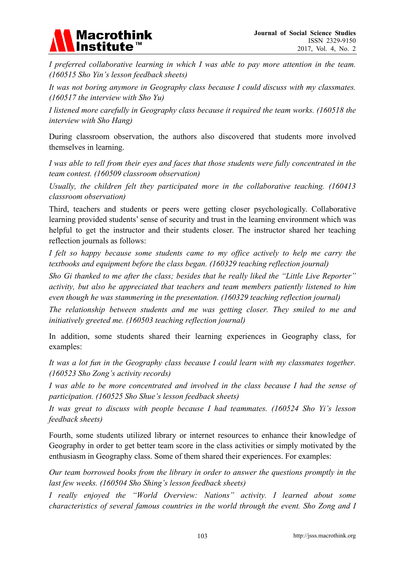# Macrothink<br>Institute™

*I preferred collaborative learning in which I was able to pay more attention in the team. (160515 Sho Yin's lesson feedback sheets)* 

*It was not boring anymore in Geography class because I could discuss with my classmates. (160517 the interview with Sho Yu)* 

*I listened more carefully in Geography class because it required the team works. (160518 the interview with Sho Hang)* 

During classroom observation, the authors also discovered that students more involved themselves in learning.

*I was able to tell from their eyes and faces that those students were fully concentrated in the team contest. (160509 classroom observation)* 

*Usually, the children felt they participated more in the collaborative teaching. (160413 classroom observation)* 

Third, teachers and students or peers were getting closer psychologically. Collaborative learning provided students' sense of security and trust in the learning environment which was helpful to get the instructor and their students closer. The instructor shared her teaching reflection journals as follows:

*I felt so happy because some students came to my office actively to help me carry the textbooks and equipment before the class began. (160329 teaching reflection journal)* 

*Sho Gi thanked to me after the class; besides that he really liked the "Little Live Reporter" activity, but also he appreciated that teachers and team members patiently listened to him even though he was stammering in the presentation. (160329 teaching reflection journal)* 

*The relationship between students and me was getting closer. They smiled to me and initiatively greeted me. (160503 teaching reflection journal)* 

In addition, some students shared their learning experiences in Geography class, for examples:

*It was a lot fun in the Geography class because I could learn with my classmates together. (160523 Sho Zong's activity records)* 

*I was able to be more concentrated and involved in the class because I had the sense of participation. (160525 Sho Shue's lesson feedback sheets)* 

*It was great to discuss with people because I had teammates. (160524 Sho Yi's lesson feedback sheets)* 

Fourth, some students utilized library or internet resources to enhance their knowledge of Geography in order to get better team score in the class activities or simply motivated by the enthusiasm in Geography class. Some of them shared their experiences. For examples:

*Our team borrowed books from the library in order to answer the questions promptly in the last few weeks. (160504 Sho Shing's lesson feedback sheets)* 

*I really enjoyed the "World Overview: Nations" activity. I learned about some characteristics of several famous countries in the world through the event. Sho Zong and I*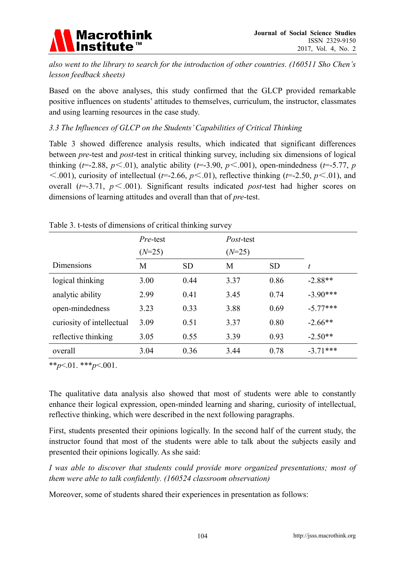

*also went to the library to search for the introduction of other countries. (160511 Sho Chen's lesson feedback sheets)* 

Based on the above analyses, this study confirmed that the GLCP provided remarkable positive influences on students' attitudes to themselves, curriculum, the instructor, classmates and using learning resources in the case study.

### *3.3 The Influences of GLCP on the Students' Capabilities of Critical Thinking*

Table 3 showed difference analysis results, which indicated that significant differences between *pre*-test and *post*-test in critical thinking survey, including six dimensions of logical thinking ( $t=$ -2.88,  $p$ <.01), analytic ability ( $t=$ -3.90,  $p$ <.001), open-mindedness ( $t=$ -5.77,  $p$  $\leq$ .001), curiosity of intellectual (*t*=-2.66, *p* $\leq$ .01), reflective thinking (*t*=-2.50, *p* $\leq$ .01), and overall (*t*=-3.71, *p*<.001). Significant results indicated *post*-test had higher scores on dimensions of learning attitudes and overall than that of *pre*-test.

|                           | Pre-test |           | <i>Post</i> -test |           |            |
|---------------------------|----------|-----------|-------------------|-----------|------------|
|                           | $(N=25)$ |           | $(N=25)$          |           |            |
| <b>Dimensions</b>         | M        | <b>SD</b> | M                 | <b>SD</b> | t          |
| logical thinking          | 3.00     | 0.44      | 3.37              | 0.86      | $-2.88**$  |
| analytic ability          | 2.99     | 0.41      | 3.45              | 0.74      | $-3.90***$ |
| open-mindedness           | 3.23     | 0.33      | 3.88              | 0.69      | $-5.77***$ |
| curiosity of intellectual | 3.09     | 0.51      | 3.37              | 0.80      | $-2.66**$  |
| reflective thinking       | 3.05     | 0.55      | 3.39              | 0.93      | $-2.50**$  |
| overall                   | 3.04     | 0.36      | 3.44              | 0.78      | $-3.71***$ |

#### Table 3. t-tests of dimensions of critical thinking survey

\*\**p*<.01. \*\*\**p*<.001.

The qualitative data analysis also showed that most of students were able to constantly enhance their logical expression, open-minded learning and sharing, curiosity of intellectual, reflective thinking, which were described in the next following paragraphs.

First, students presented their opinions logically. In the second half of the current study, the instructor found that most of the students were able to talk about the subjects easily and presented their opinions logically. As she said:

*I was able to discover that students could provide more organized presentations; most of them were able to talk confidently. (160524 classroom observation)* 

Moreover, some of students shared their experiences in presentation as follows: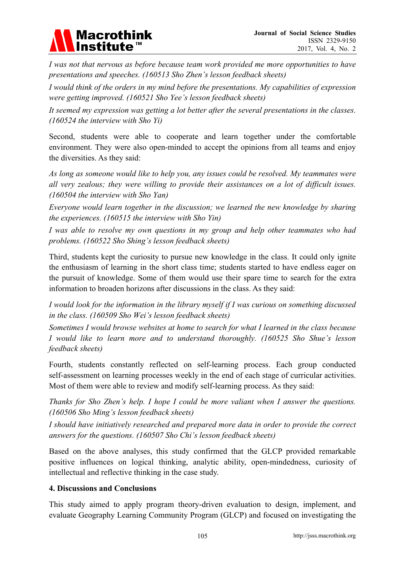

*I was not that nervous as before because team work provided me more opportunities to have presentations and speeches. (160513 Sho Zhen's lesson feedback sheets)* 

*I would think of the orders in my mind before the presentations. My capabilities of expression were getting improved. (160521 Sho Yee's lesson feedback sheets)* 

*It seemed my expression was getting a lot better after the several presentations in the classes. (160524 the interview with Sho Yi)* 

Second, students were able to cooperate and learn together under the comfortable environment. They were also open-minded to accept the opinions from all teams and enjoy the diversities. As they said:

*As long as someone would like to help you, any issues could be resolved. My teammates were all very zealous; they were willing to provide their assistances on a lot of difficult issues. (160504 the interview with Sho Yan)* 

*Everyone would learn together in the discussion; we learned the new knowledge by sharing the experiences. (160515 the interview with Sho Yin)* 

*I was able to resolve my own questions in my group and help other teammates who had problems. (160522 Sho Shing's lesson feedback sheets)* 

Third, students kept the curiosity to pursue new knowledge in the class. It could only ignite the enthusiasm of learning in the short class time; students started to have endless eager on the pursuit of knowledge. Some of them would use their spare time to search for the extra information to broaden horizons after discussions in the class. As they said:

*I would look for the information in the library myself if I was curious on something discussed in the class. (160509 Sho Wei's lesson feedback sheets)* 

*Sometimes I would browse websites at home to search for what I learned in the class because I would like to learn more and to understand thoroughly. (160525 Sho Shue's lesson feedback sheets)* 

Fourth, students constantly reflected on self-learning process. Each group conducted self-assessment on learning processes weekly in the end of each stage of curricular activities. Most of them were able to review and modify self-learning process. As they said:

*Thanks for Sho Zhen's help. I hope I could be more valiant when I answer the questions. (160506 Sho Ming's lesson feedback sheets)* 

*I should have initiatively researched and prepared more data in order to provide the correct answers for the questions. (160507 Sho Chi's lesson feedback sheets)* 

Based on the above analyses, this study confirmed that the GLCP provided remarkable positive influences on logical thinking, analytic ability, open-mindedness, curiosity of intellectual and reflective thinking in the case study.

#### **4. Discussions and Conclusions**

This study aimed to apply program theory-driven evaluation to design, implement, and evaluate Geography Learning Community Program (GLCP) and focused on investigating the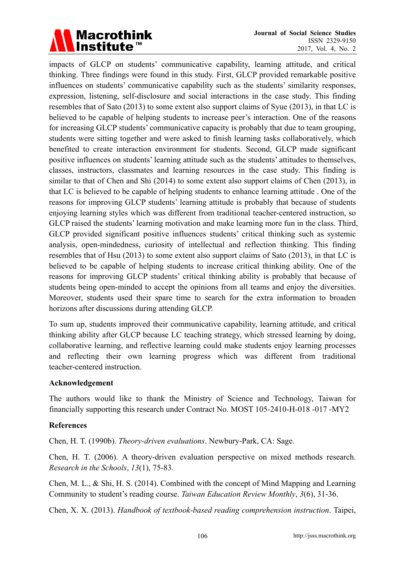

impacts of GLCP on students' communicative capability, learning attitude, and critical thinking. Three findings were found in this study. First, GLCP provided remarkable positive influences on students' communicative capability such as the students' similarity responses, expression, listening, self-disclosure and social interactions in the case study. This finding resembles that of Sato (2013) to some extent also support claims of Syue (2013), in that LC is believed to be capable of helping students to increase peer's interaction. One of the reasons for increasing GLCP students' communicative capacity is probably that due to team grouping, students were sitting together and were asked to finish learning tasks collaboratively, which benefited to create interaction environment for students. Second, GLCP made significant positive influences on students' learning attitude such as the students' attitudes to themselves, classes, instructors, classmates and learning resources in the case study. This finding is similar to that of Chen and Shi (2014) to some extent also support claims of Chen (2013), in that LC is believed to be capable of helping students to enhance learning attitude . One of the reasons for improving GLCP students' learning attitude is probably that because of students enjoying learning styles which was different from traditional teacher-centered instruction, so GLCP raised the students' learning motivation and make learning more fun in the class. Third, GLCP provided significant positive influences students' critical thinking such as systemic analysis, open-mindedness, curiosity of intellectual and reflection thinking. This finding resembles that of Hsu (2013) to some extent also support claims of Sato (2013), in that LC is believed to be capable of helping students to increase critical thinking ability. One of the reasons for improving GLCP students' critical thinking ability is probably that because of students being open-minded to accept the opinions from all teams and enjoy the diversities. Moreover, students used their spare time to search for the extra information to broaden horizons after discussions during attending GLCP.

To sum up, students improved their communicative capability, learning attitude, and critical thinking ability after GLCP because LC teaching strategy, which stressed learning by doing, collaborative learning, and reflective learning could make students enjoy learning processes and reflecting their own learning progress which was different from traditional teacher-centered instruction.

#### **Acknowledgement**

The authors would like to thank the Ministry of Science and Technology, Taiwan for financially supporting this research under Contract No. MOST 105-2410-H-018 -017 -MY2

#### **References**

Chen, H. T. (1990b). *Theory-driven evaluations*. Newbury-Park, CA: Sage.

Chen, H. T. (2006). A theory-driven evaluation perspective on mixed methods research. *Research in the Schools*, *13*(1), 75-83.

Chen, M. L., & Shi, H. S. (2014). Combined with the concept of Mind Mapping and Learning Community to student's reading course. *Taiwan Education Review Monthly*, *3*(6), 31-36.

Chen, X. X. (2013). *Handbook of textbook-based reading comprehension instruction*. Taipei,